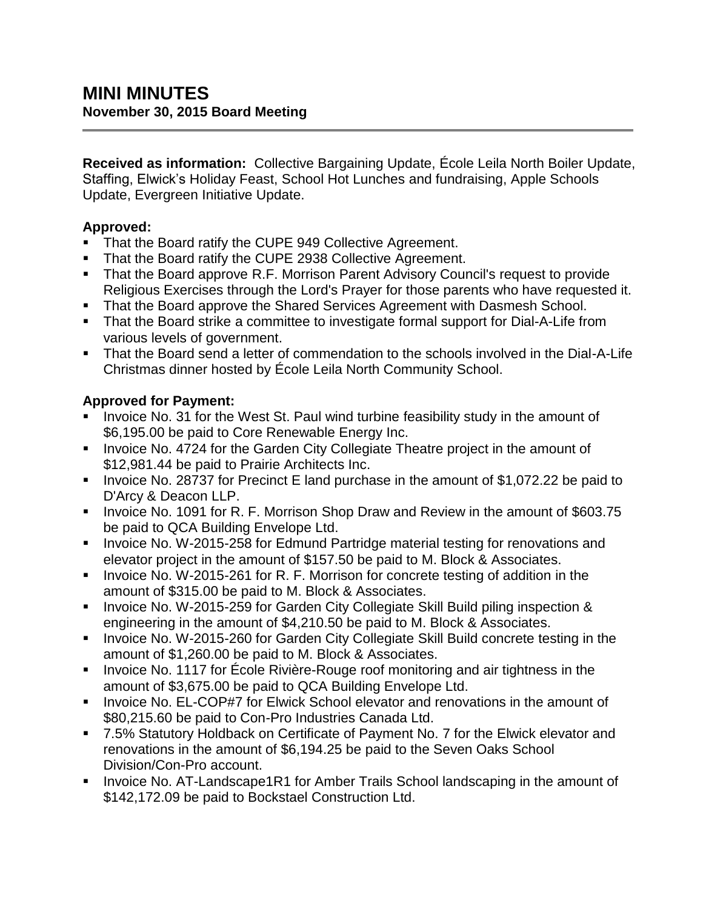**Received as information:** Collective Bargaining Update, École Leila North Boiler Update, Staffing, Elwick's Holiday Feast, School Hot Lunches and fundraising, Apple Schools Update, Evergreen Initiative Update.

## **Approved:**

- That the Board ratify the CUPE 949 Collective Agreement.
- That the Board ratify the CUPE 2938 Collective Agreement.
- That the Board approve R.F. Morrison Parent Advisory Council's request to provide Religious Exercises through the Lord's Prayer for those parents who have requested it.
- That the Board approve the Shared Services Agreement with Dasmesh School.
- That the Board strike a committee to investigate formal support for Dial-A-Life from various levels of government.
- That the Board send a letter of commendation to the schools involved in the Dial-A-Life Christmas dinner hosted by École Leila North Community School.

## **Approved for Payment:**

- Invoice No. 31 for the West St. Paul wind turbine feasibility study in the amount of \$6,195.00 be paid to Core Renewable Energy Inc.
- **Invoice No. 4724 for the Garden City Collegiate Theatre project in the amount of** \$12,981.44 be paid to Prairie Architects Inc.
- Invoice No. 28737 for Precinct E land purchase in the amount of \$1,072.22 be paid to D'Arcy & Deacon LLP.
- Invoice No. 1091 for R. F. Morrison Shop Draw and Review in the amount of \$603.75 be paid to QCA Building Envelope Ltd.
- **Invoice No. W-2015-258 for Edmund Partridge material testing for renovations and** elevator project in the amount of \$157.50 be paid to M. Block & Associates.
- Invoice No. W-2015-261 for R. F. Morrison for concrete testing of addition in the amount of \$315.00 be paid to M. Block & Associates.
- Invoice No. W-2015-259 for Garden City Collegiate Skill Build piling inspection & engineering in the amount of \$4,210.50 be paid to M. Block & Associates.
- **Invoice No. W-2015-260 for Garden City Collegiate Skill Build concrete testing in the** amount of \$1,260.00 be paid to M. Block & Associates.
- Invoice No. 1117 for École Rivière-Rouge roof monitoring and air tightness in the amount of \$3,675.00 be paid to QCA Building Envelope Ltd.
- **IDED** Invoice No. EL-COP#7 for Elwick School elevator and renovations in the amount of \$80,215.60 be paid to Con-Pro Industries Canada Ltd.
- 7.5% Statutory Holdback on Certificate of Payment No. 7 for the Elwick elevator and renovations in the amount of \$6,194.25 be paid to the Seven Oaks School Division/Con-Pro account.
- **Invoice No. AT-Landscape1R1 for Amber Trails School landscaping in the amount of** \$142,172.09 be paid to Bockstael Construction Ltd.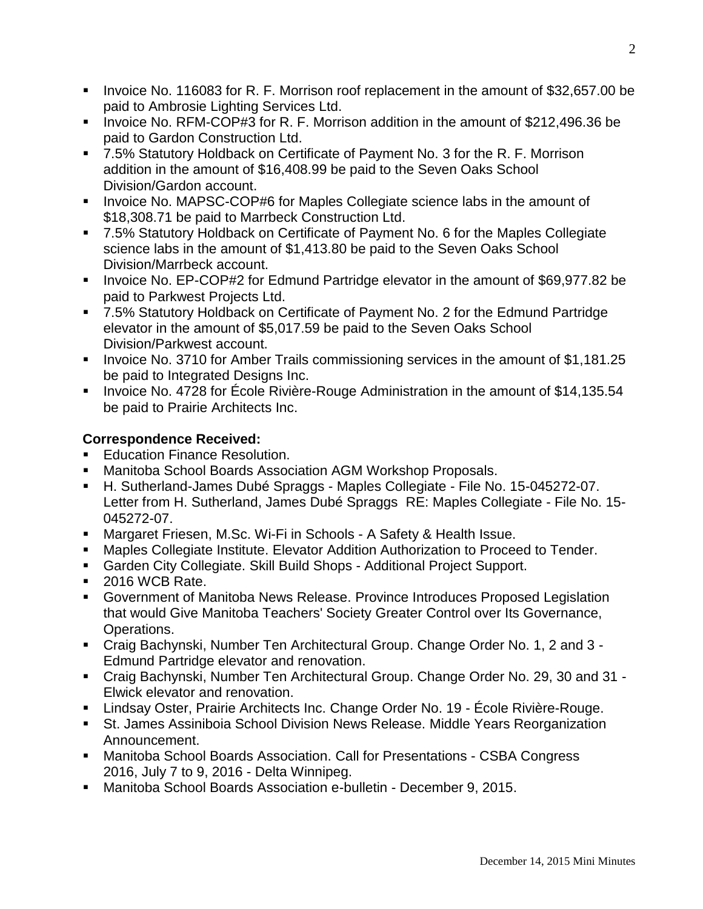- Invoice No. 116083 for R. F. Morrison roof replacement in the amount of \$32,657.00 be paid to Ambrosie Lighting Services Ltd.
- Invoice No. RFM-COP#3 for R. F. Morrison addition in the amount of \$212,496.36 be paid to Gardon Construction Ltd.
- 7.5% Statutory Holdback on Certificate of Payment No. 3 for the R. F. Morrison addition in the amount of \$16,408.99 be paid to the Seven Oaks School Division/Gardon account.
- **Invoice No. MAPSC-COP#6 for Maples Collegiate science labs in the amount of** \$18,308.71 be paid to Marrbeck Construction Ltd.
- 7.5% Statutory Holdback on Certificate of Payment No. 6 for the Maples Collegiate science labs in the amount of \$1,413.80 be paid to the Seven Oaks School Division/Marrbeck account.
- **Invoice No. EP-COP#2 for Edmund Partridge elevator in the amount of \$69,977.82 be** paid to Parkwest Projects Ltd.
- 7.5% Statutory Holdback on Certificate of Payment No. 2 for the Edmund Partridge elevator in the amount of \$5,017.59 be paid to the Seven Oaks School Division/Parkwest account.
- **Invoice No. 3710 for Amber Trails commissioning services in the amount of \$1,181.25** be paid to Integrated Designs Inc.
- Invoice No. 4728 for École Rivière-Rouge Administration in the amount of \$14,135.54 be paid to Prairie Architects Inc.

## **Correspondence Received:**

- **Education Finance Resolution.**
- Manitoba School Boards Association AGM Workshop Proposals.
- H. Sutherland-James Dubé Spraggs Maples Collegiate File No. 15-045272-07. Letter from H. Sutherland, James Dubé Spraggs RE: Maples Collegiate - File No. 15- 045272-07.
- Margaret Friesen, M.Sc. Wi-Fi in Schools A Safety & Health Issue.
- Maples Collegiate Institute. Elevator Addition Authorization to Proceed to Tender.
- Garden City Collegiate. Skill Build Shops Additional Project Support.
- 2016 WCB Rate.
- Government of Manitoba News Release. Province Introduces Proposed Legislation that would Give Manitoba Teachers' Society Greater Control over Its Governance, Operations.
- Craig Bachynski, Number Ten Architectural Group. Change Order No. 1, 2 and 3 Edmund Partridge elevator and renovation.
- Craig Bachynski, Number Ten Architectural Group. Change Order No. 29, 30 and 31 Elwick elevator and renovation.
- Lindsay Oster, Prairie Architects Inc. Change Order No. 19 École Rivière-Rouge.
- St. James Assiniboia School Division News Release. Middle Years Reorganization Announcement.
- Manitoba School Boards Association. Call for Presentations CSBA Congress 2016, July 7 to 9, 2016 - Delta Winnipeg.
- Manitoba School Boards Association e-bulletin December 9, 2015.